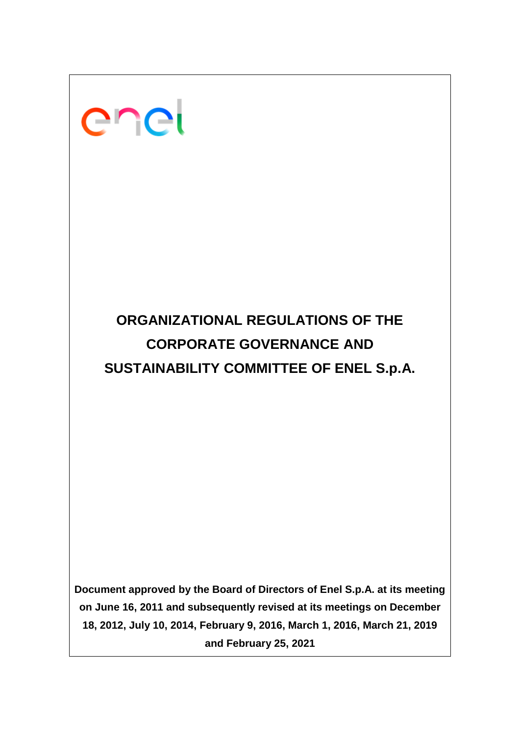# enei

# **ORGANIZATIONAL REGULATIONS OF THE CORPORATE GOVERNANCE AND SUSTAINABILITY COMMITTEE OF ENEL S.p.A.**

**Document approved by the Board of Directors of Enel S.p.A. at its meeting on June 16, 2011 and subsequently revised at its meetings on December 18, 2012, July 10, 2014, February 9, 2016, March 1, 2016, March 21, 2019 and February 25, 2021**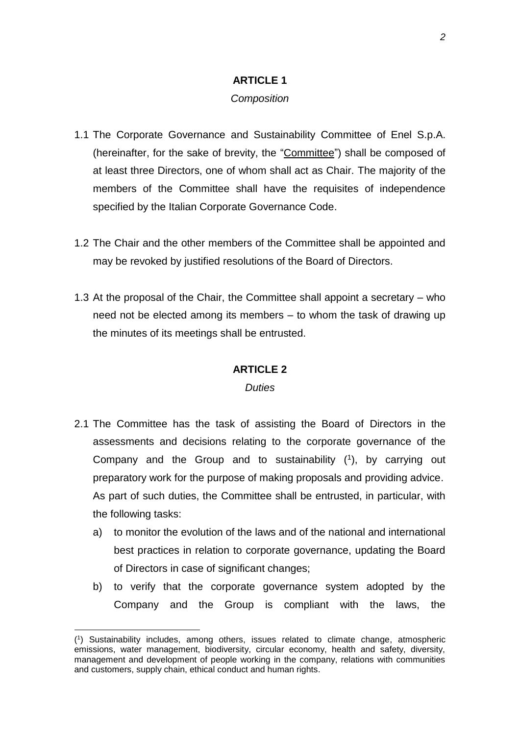#### **ARTICLE 1**

#### *Composition*

- 1.1 The Corporate Governance and Sustainability Committee of Enel S.p.A. (hereinafter, for the sake of brevity, the "Committee") shall be composed of at least three Directors, one of whom shall act as Chair. The majority of the members of the Committee shall have the requisites of independence specified by the Italian Corporate Governance Code.
- 1.2 The Chair and the other members of the Committee shall be appointed and may be revoked by justified resolutions of the Board of Directors.
- 1.3 At the proposal of the Chair, the Committee shall appoint a secretary who need not be elected among its members – to whom the task of drawing up the minutes of its meetings shall be entrusted.

#### **ARTICLE 2**

#### *Duties*

- 2.1 The Committee has the task of assisting the Board of Directors in the assessments and decisions relating to the corporate governance of the Company and the Group and to sustainability ( 1 ), by carrying out preparatory work for the purpose of making proposals and providing advice. As part of such duties, the Committee shall be entrusted, in particular, with the following tasks:
	- a) to monitor the evolution of the laws and of the national and international best practices in relation to corporate governance, updating the Board of Directors in case of significant changes;
	- b) to verify that the corporate governance system adopted by the Company and the Group is compliant with the laws, the

<sup>(</sup> 1 ) Sustainability includes, among others, issues related to climate change, atmospheric emissions, water management, biodiversity, circular economy, health and safety, diversity, management and development of people working in the company, relations with communities and customers, supply chain, ethical conduct and human rights.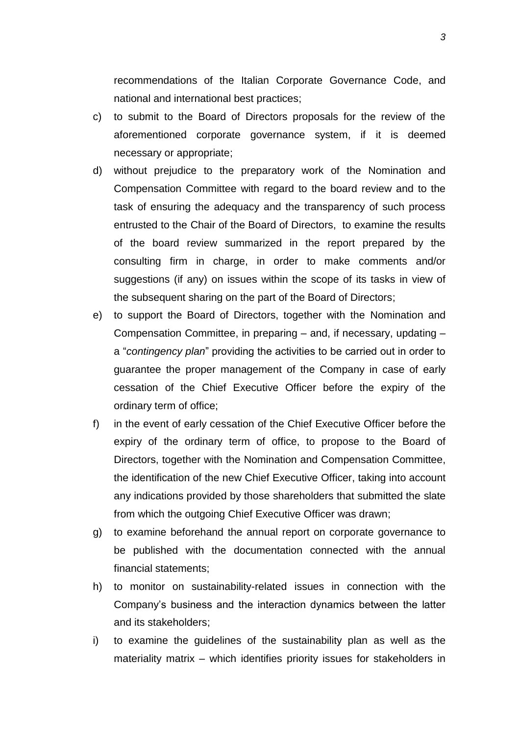recommendations of the Italian Corporate Governance Code, and national and international best practices;

- c) to submit to the Board of Directors proposals for the review of the aforementioned corporate governance system, if it is deemed necessary or appropriate;
- d) without prejudice to the preparatory work of the Nomination and Compensation Committee with regard to the board review and to the task of ensuring the adequacy and the transparency of such process entrusted to the Chair of the Board of Directors, to examine the results of the board review summarized in the report prepared by the consulting firm in charge, in order to make comments and/or suggestions (if any) on issues within the scope of its tasks in view of the subsequent sharing on the part of the Board of Directors;
- e) to support the Board of Directors, together with the Nomination and Compensation Committee, in preparing – and, if necessary, updating – a "*contingency plan*" providing the activities to be carried out in order to guarantee the proper management of the Company in case of early cessation of the Chief Executive Officer before the expiry of the ordinary term of office;
- f) in the event of early cessation of the Chief Executive Officer before the expiry of the ordinary term of office, to propose to the Board of Directors, together with the Nomination and Compensation Committee, the identification of the new Chief Executive Officer, taking into account any indications provided by those shareholders that submitted the slate from which the outgoing Chief Executive Officer was drawn;
- g) to examine beforehand the annual report on corporate governance to be published with the documentation connected with the annual financial statements;
- h) to monitor on sustainability-related issues in connection with the Company's business and the interaction dynamics between the latter and its stakeholders;
- i) to examine the guidelines of the sustainability plan as well as the materiality matrix – which identifies priority issues for stakeholders in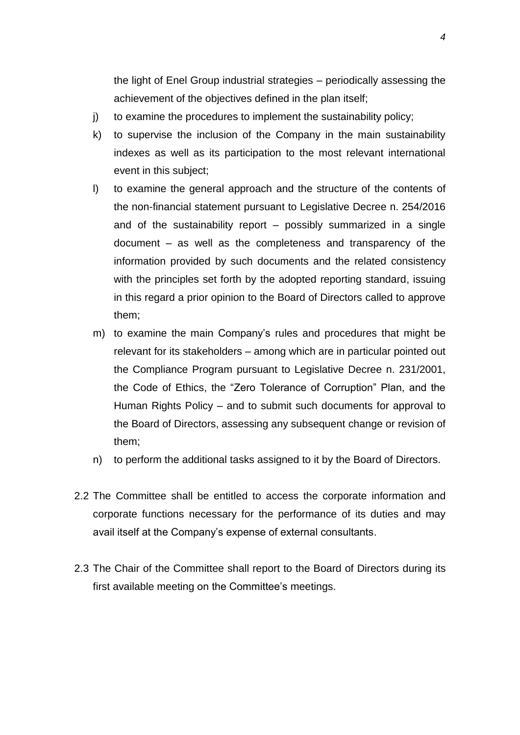the light of Enel Group industrial strategies – periodically assessing the achievement of the objectives defined in the plan itself;

- j) to examine the procedures to implement the sustainability policy;
- k) to supervise the inclusion of the Company in the main sustainability indexes as well as its participation to the most relevant international event in this subject;
- l) to examine the general approach and the structure of the contents of the non-financial statement pursuant to Legislative Decree n. 254/2016 and of the sustainability report – possibly summarized in a single document – as well as the completeness and transparency of the information provided by such documents and the related consistency with the principles set forth by the adopted reporting standard, issuing in this regard a prior opinion to the Board of Directors called to approve them;
- m) to examine the main Company's rules and procedures that might be relevant for its stakeholders – among which are in particular pointed out the Compliance Program pursuant to Legislative Decree n. 231/2001, the Code of Ethics, the "Zero Tolerance of Corruption" Plan, and the Human Rights Policy – and to submit such documents for approval to the Board of Directors, assessing any subsequent change or revision of them;
- n) to perform the additional tasks assigned to it by the Board of Directors.
- 2.2 The Committee shall be entitled to access the corporate information and corporate functions necessary for the performance of its duties and may avail itself at the Company's expense of external consultants.
- 2.3 The Chair of the Committee shall report to the Board of Directors during its first available meeting on the Committee's meetings.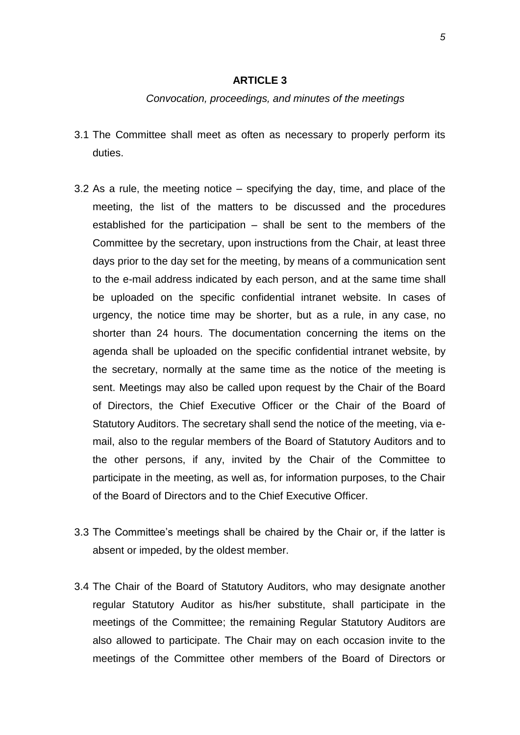#### **ARTICLE 3**

#### *Convocation, proceedings, and minutes of the meetings*

- 3.1 The Committee shall meet as often as necessary to properly perform its duties.
- 3.2 As a rule, the meeting notice specifying the day, time, and place of the meeting, the list of the matters to be discussed and the procedures established for the participation – shall be sent to the members of the Committee by the secretary, upon instructions from the Chair, at least three days prior to the day set for the meeting, by means of a communication sent to the e-mail address indicated by each person, and at the same time shall be uploaded on the specific confidential intranet website. In cases of urgency, the notice time may be shorter, but as a rule, in any case, no shorter than 24 hours. The documentation concerning the items on the agenda shall be uploaded on the specific confidential intranet website, by the secretary, normally at the same time as the notice of the meeting is sent. Meetings may also be called upon request by the Chair of the Board of Directors, the Chief Executive Officer or the Chair of the Board of Statutory Auditors. The secretary shall send the notice of the meeting, via email, also to the regular members of the Board of Statutory Auditors and to the other persons, if any, invited by the Chair of the Committee to participate in the meeting, as well as, for information purposes, to the Chair of the Board of Directors and to the Chief Executive Officer.
- 3.3 The Committee's meetings shall be chaired by the Chair or, if the latter is absent or impeded, by the oldest member.
- 3.4 The Chair of the Board of Statutory Auditors, who may designate another regular Statutory Auditor as his/her substitute, shall participate in the meetings of the Committee; the remaining Regular Statutory Auditors are also allowed to participate. The Chair may on each occasion invite to the meetings of the Committee other members of the Board of Directors or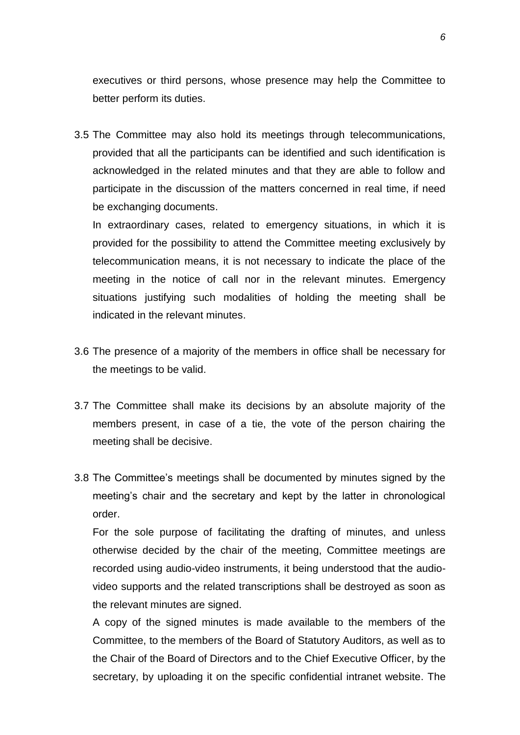executives or third persons, whose presence may help the Committee to better perform its duties.

3.5 The Committee may also hold its meetings through telecommunications, provided that all the participants can be identified and such identification is acknowledged in the related minutes and that they are able to follow and participate in the discussion of the matters concerned in real time, if need be exchanging documents.

In extraordinary cases, related to emergency situations, in which it is provided for the possibility to attend the Committee meeting exclusively by telecommunication means, it is not necessary to indicate the place of the meeting in the notice of call nor in the relevant minutes. Emergency situations justifying such modalities of holding the meeting shall be indicated in the relevant minutes.

- 3.6 The presence of a majority of the members in office shall be necessary for the meetings to be valid.
- 3.7 The Committee shall make its decisions by an absolute majority of the members present, in case of a tie, the vote of the person chairing the meeting shall be decisive.
- 3.8 The Committee's meetings shall be documented by minutes signed by the meeting's chair and the secretary and kept by the latter in chronological order.

For the sole purpose of facilitating the drafting of minutes, and unless otherwise decided by the chair of the meeting, Committee meetings are recorded using audio-video instruments, it being understood that the audiovideo supports and the related transcriptions shall be destroyed as soon as the relevant minutes are signed.

A copy of the signed minutes is made available to the members of the Committee, to the members of the Board of Statutory Auditors, as well as to the Chair of the Board of Directors and to the Chief Executive Officer, by the secretary, by uploading it on the specific confidential intranet website. The